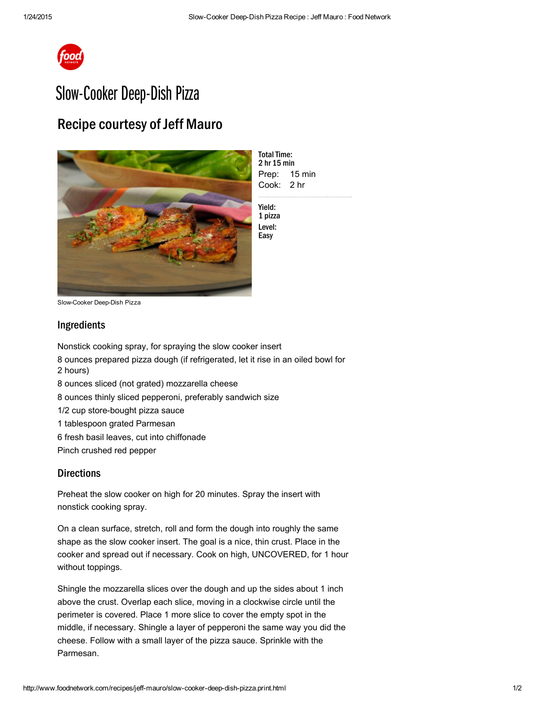

## Slow-Cooker Deep-Dish Pizza

## Recipe courtesy of Jeff Mauro



Prep: 15 min Cook: 2 hr **Total Time:** 2 hr 15 min

Yield: 1 pizza Level: Easy

Slow-Cooker Deep-Dish Pizza

## Ingredients

Nonstick [cooking](http://www.foodterms.com/encyclopedia/cooking-spray/index.html) spray, for spraying the slow cooker insert 8 ounces prepared pizza [dough](http://www.foodterms.com/encyclopedia/dough/index.html) (if refrigerated, let it rise in an oiled bowl for 2 hours) 8 ounces sliced (not grated) [mozzarella](http://www.foodterms.com/encyclopedia/mozzarella/index.html) cheese 8 ounces thinly sliced pepperoni, preferably sandwich size 1/2 cup store-bought pizza sauce 1 tablespoon grated Parmesan 6 fresh basil leaves, cut into [chiffonade](http://www.foodterms.com/encyclopedia/chiffonade/index.html) Pinch crushed red pepper

## **Directions**

Preheat the slow cooker on high for 20 minutes. Spray the insert with nonstick cooking spray.

On a clean surface, stretch, roll and form the dough into roughly the same shape as the slow cooker insert. The goal is a nice, thin crust. Place in the cooker and spread out if necessary. Cook on high, UNCOVERED, for 1 hour without toppings.

Shingle the mozzarella slices over the dough and up the sides about 1 inch above the crust. Overlap each slice, moving in a clockwise circle until the perimeter is covered. Place 1 more slice to cover the empty spot in the middle, if necessary. Shingle a layer of [pepperoni](http://www.foodterms.com/encyclopedia/pepperoni/index.html) the same way you did the cheese. Follow with a small layer of the pizza sauce. Sprinkle with the [Parmesan.](http://www.foodterms.com/encyclopedia/parmesan/index.html)